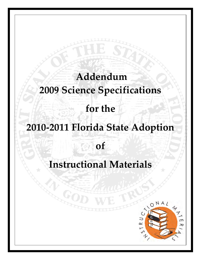# **Addendum 2009 Science Specifications for the 2010‐2011 Florida State Adoption of**

## **Instructional Materials**

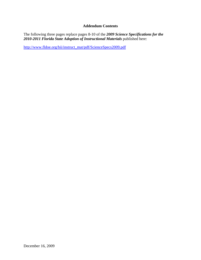#### **Addendum Contents**

The following three pages replace pages 8-10 of the *2009 Science Specifications for the*  2010-2011 Florida State Adoption of Instructional Materials published here:

[http://www.fldoe.org/bii/instruct\\_mat/pdf/ScienceSpecs2009.pdf](http://www.fldoe.org/bii/instruct_mat/pdf/ScienceSpecs2009.pdf)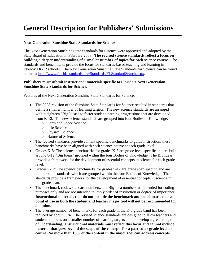### **General Description for Publishers' Submissions**

#### **Next Generation Sunshine State Standards for Science**

The Next Generation Sunshine State Standards for Science were approved and adopted by the State Board of Education in February 2008. **The revised science standards reflect a focus on building a deeper understanding of a smaller number of topics for each science course.** The standards and benchmarks provide the focus for standards-based teaching and learning in Florida's K-12 schools. The Next Generation Sunshine State Standards for Science can be found online at [http://www.floridastandards.org/Standards/FLStandardSearch.aspx.](http://www.floridastandards.org/Standards/FLStandardSearch.aspx)

#### **Publishers must submit instructional materials specific to Florida's Next Generation Sunshine State Standards for Science.**

Features of the Next Generation Sunshine State Standards for Science:

- The 2008 revision of the Sunshine State Standards for Science resulted in standards that define a smaller number of learning targets. The new science standards are arranged within eighteen "Big Ideas" to foster student learning progressions that are developed from K-12. The new science standards are grouped into four Bodies of Knowledge:
	- o Earth and Space Science
	- o Life Science
	- o Physical Science
	- o Nature of Science
- The revised standards provide content specific benchmarks to guide instruction; these benchmarks have been aligned with each science course at each grade level.
- Grades K-8: The science benchmarks for grades K-8 are grade level specific and are built around 8-12 "Big Ideas" grouped within the four Bodies of Knowledge. The Big Ideas provide a framework for the development of essential concepts in science for each grade level.
- Grades 9-12: The science benchmarks for grades 9-12 are grade span specific and are built around standards which are grouped within the four Bodies of Knowledge. The standards provide a framework for the development of essential concepts in science in this grade span.
- The benchmark codes, standard numbers, and Big Idea numbers are intended for coding purposes only and are not intended to imply order of instruction or degree of importance. **Instructional materials that do not include the benchmark and benchmark code at point of use in both the student and teacher major tool will not be recommended for adoption.**
- The average number of benchmarks for each grade in the K-8 grade band has been reduced by about 50%. The revised science standards are designed to allow teachers and students to focus on a smaller number of learning targets and to develop a greater depth of understanding. **Instructional materials must reflect this focus and cannot include material that goes beyond the scope of the concepts for a particular grade level or course. No more than 10% of the content in the major tool can address concepts**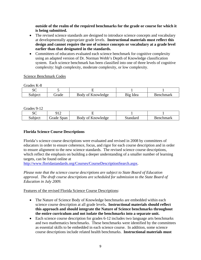**outside of the realm of the required benchmarks for the grade or course for which it is being submitted.** 

- The revised science standards are designed to introduce science concepts and vocabulary at developmentally appropriate grade levels. **Instructional materials must reflect this design and cannot require the use of science concepts or vocabulary at a grade level earlier than that designated in the standards.**
- Committees of educators evaluated each science benchmark for cognitive complexity using an adapted version of Dr. Norman Webb's Depth of Knowledge classification system. Each science benchmark has been classified into one of three levels of cognitive complexity: high complexity, moderate complexity, or low complexity.

#### Science Benchmark Codes

Grades K-8

| -------------- |       |                                      |                          |              |  |  |
|----------------|-------|--------------------------------------|--------------------------|--------------|--|--|
| $\sim$<br>υC   |       |                                      |                          |              |  |  |
| Subject        | irade | $\mathbf{r}$<br>Knowledge<br>Body of | 12 <sub>12</sub><br>Idea | mark<br>⊀enc |  |  |

Grades 9-12

| $\sim$<br>υ | . .                  |                         |                       |                    |
|-------------|----------------------|-------------------------|-----------------------|--------------------|
| Subject     | Span<br><i>drade</i> | Ωt<br>.nowledge<br>Body | 0.48<br>(9r)<br>™uare | ımark<br>$\sim$ 10 |

#### **Florida Science Course Descriptions**

Florida's science course descriptions were evaluated and revised in 2008 by committees of educators in order to ensure coherence, focus, and rigor for each course description and in order to ensure alignment to the new science standards. The revised science course descriptions, which reflect the emphasis on building a deeper understanding of a smaller number of learning targets, can be found online at

<http://www.floridastandards.org/Courses/CourseDescriptionSearch.aspx>.

*Please note that the science course descriptions are subject to State Board of Education approval. The draft course descriptions are scheduled for submission to the State Board of Education in July 2009.* 

Features of the revised Florida Science Course Descriptions:

- The Nature of Science Body of Knowledge benchmarks are embedded within each science course description at all grade levels**. Instructional materials should reflect this approach and should integrate the Nature of Science benchmarks throughout the entire curriculum and not isolate the benchmarks into a separate unit.**
- Each science course description for grades 6-12 includes two language arts benchmarks and two mathematics benchmarks. These benchmarks were identified by the committees as essential skills to be embedded in each science course. In addition, some science course descriptions include related health benchmarks. **Instructional materials must**